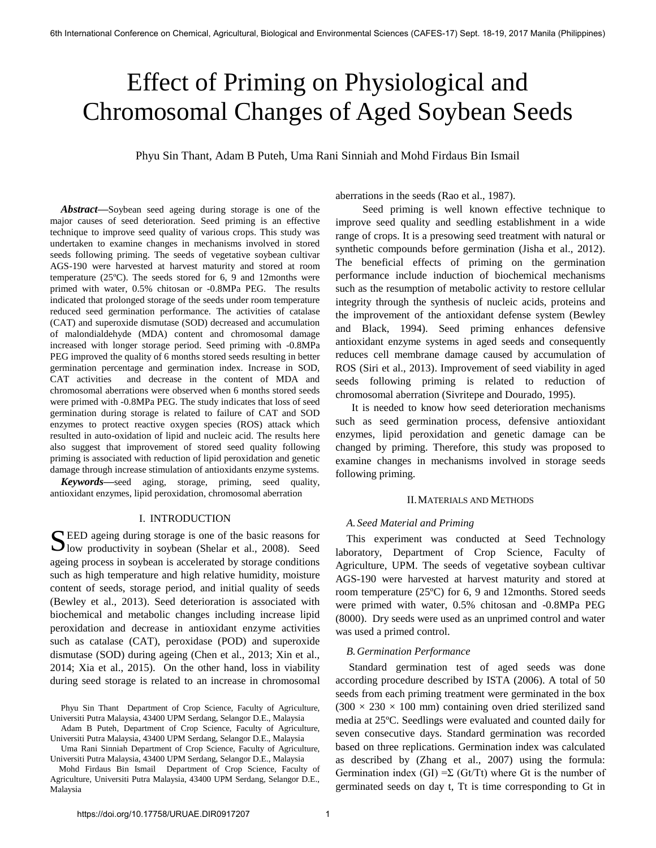# Effect of Priming on Physiological and Chromosomal Changes of Aged Soybean Seeds

Phyu Sin Thant, Adam B Puteh, Uma Rani Sinniah and Mohd Firdaus Bin Ismail

*Abstract***—**Soybean seed ageing during storage is one of the major causes of seed deterioration. Seed priming is an effective technique to improve seed quality of various crops. This study was undertaken to examine changes in mechanisms involved in stored seeds following priming. The seeds of vegetative soybean cultivar AGS-190 were harvested at harvest maturity and stored at room temperature (25ºC). The seeds stored for 6, 9 and 12months were primed with water, 0.5% chitosan or -0.8MPa PEG. The results indicated that prolonged storage of the seeds under room temperature reduced seed germination performance. The activities of catalase (CAT) and superoxide dismutase (SOD) decreased and accumulation of malondialdehyde (MDA) content and chromosomal damage increased with longer storage period. Seed priming with -0.8MPa PEG improved the quality of 6 months stored seeds resulting in better germination percentage and germination index. Increase in SOD, CAT activities and decrease in the content of MDA and chromosomal aberrations were observed when 6 months stored seeds were primed with -0.8MPa PEG. The study indicates that loss of seed germination during storage is related to failure of CAT and SOD enzymes to protect reactive oxygen species (ROS) attack which resulted in auto-oxidation of lipid and nucleic acid. The results here also suggest that improvement of stored seed quality following priming is associated with reduction of lipid peroxidation and genetic damage through increase stimulation of antioxidants enzyme systems.

*Keywords***—**seed aging, storage, priming, seed quality, antioxidant enzymes, lipid peroxidation, chromosomal aberration

## I. INTRODUCTION

EED ageing during storage is one of the basic reasons for SEED ageing during storage is one of the basic reasons for low productivity in soybean (Shelar et al., 2008). Seed ageing process in soybean is accelerated by storage conditions such as high temperature and high relative humidity, moisture content of seeds, storage period, and initial quality of seeds (Bewley et al., 2013). Seed deterioration is associated with biochemical and metabolic changes including increase lipid peroxidation and decrease in antioxidant enzyme activities such as catalase (CAT), peroxidase (POD) and superoxide dismutase (SOD) during ageing (Chen et al., 2013; Xin et al., 2014; Xia et al., 2015). On the other hand, loss in viability during seed storage is related to an increase in chromosomal

aberrations in the seeds (Rao et al., 1987).

 Seed priming is well known effective technique to improve seed quality and seedling establishment in a wide range of crops. It is a presowing seed treatment with natural or synthetic compounds before germination (Jisha et al., 2012). The beneficial effects of priming on the germination performance include induction of biochemical mechanisms such as the resumption of metabolic activity to restore cellular integrity through the synthesis of nucleic acids, proteins and the improvement of the antioxidant defense system (Bewley and Black, 1994). Seed priming enhances defensive antioxidant enzyme systems in aged seeds and consequently reduces cell membrane damage caused by accumulation of ROS (Siri et al., 2013). Improvement of seed viability in aged seeds following priming is related to reduction of chromosomal aberration (Sivritepe and Dourado, 1995).

 It is needed to know how seed deterioration mechanisms such as seed germination process, defensive antioxidant enzymes, lipid peroxidation and genetic damage can be changed by priming. Therefore, this study was proposed to examine changes in mechanisms involved in storage seeds following priming.

## II.MATERIALS AND METHODS

## *A. Seed Material and Priming*

This experiment was conducted at Seed Technology laboratory, Department of Crop Science, Faculty of Agriculture, UPM. The seeds of vegetative soybean cultivar AGS-190 were harvested at harvest maturity and stored at room temperature (25ºC) for 6, 9 and 12months. Stored seeds were primed with water, 0.5% chitosan and -0.8MPa PEG (8000). Dry seeds were used as an unprimed control and water was used a primed control.

## *B.Germination Performance*

 Standard germination test of aged seeds was done according procedure described by ISTA (2006). A total of 50 seeds from each priming treatment were germinated in the box  $(300 \times 230 \times 100$  mm) containing oven dried sterilized sand media at 25ºC. Seedlings were evaluated and counted daily for seven consecutive days. Standard germination was recorded based on three replications. Germination index was calculated as described by (Zhang et al., 2007) using the formula: Germination index (GI) =  $\Sigma$  (Gt/Tt) where Gt is the number of germinated seeds on day t, Tt is time corresponding to Gt in

Phyu Sin Thant Department of Crop Science, Faculty of Agriculture, Universiti Putra Malaysia, 43400 UPM Serdang, Selangor D.E., Malaysia

Adam B Puteh, Department of Crop Science, Faculty of Agriculture, Universiti Putra Malaysia, 43400 UPM Serdang, Selangor D.E., Malaysia

Uma Rani Sinniah Department of Crop Science, Faculty of Agriculture, Universiti Putra Malaysia, 43400 UPM Serdang, Selangor D.E., Malaysia

Mohd Firdaus Bin Ismail Department of Crop Science, Faculty of Agriculture, Universiti Putra Malaysia, 43400 UPM Serdang, Selangor D.E., Malaysia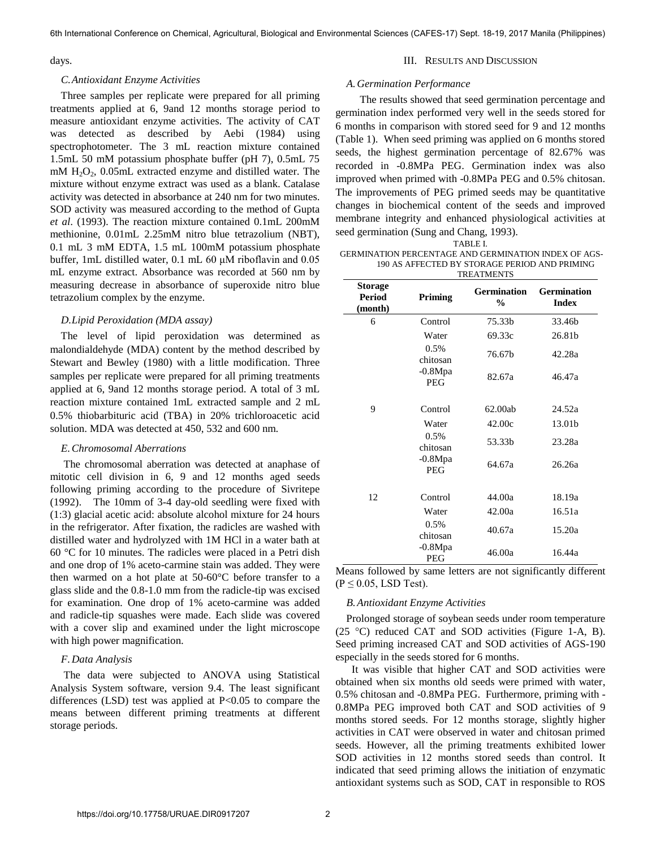#### days.

#### *C.Antioxidant Enzyme Activities*

 Three samples per replicate were prepared for all priming treatments applied at 6, 9and 12 months storage period to measure antioxidant enzyme activities. The activity of CAT was detected as described by Aebi (1984) using spectrophotometer. The 3 mL reaction mixture contained 1.5mL 50 mM potassium phosphate buffer (pH 7), 0.5mL 75 mM  $H_2O_2$ , 0.05mL extracted enzyme and distilled water. The mixture without enzyme extract was used as a blank. Catalase activity was detected in absorbance at 240 nm for two minutes. SOD activity was measured according to the method of Gupta *et al*. (1993). The reaction mixture contained 0.1mL 200mM methionine, 0.01mL 2.25mM nitro blue tetrazolium (NBT), 0.1 mL 3 mM EDTA, 1.5 mL 100mM potassium phosphate buffer, 1mL distilled water, 0.1 mL 60 μM riboflavin and 0.05 mL enzyme extract. Absorbance was recorded at 560 nm by measuring decrease in absorbance of superoxide nitro blue tetrazolium complex by the enzyme.

## *D.Lipid Peroxidation (MDA assay)*

The level of lipid peroxidation was determined as malondialdehyde (MDA) content by the method described by Stewart and Bewley (1980) with a little modification. Three samples per replicate were prepared for all priming treatments applied at 6, 9and 12 months storage period. A total of 3 mL reaction mixture contained 1mL extracted sample and 2 mL 0.5% thiobarbituric acid (TBA) in 20% trichloroacetic acid solution. MDA was detected at 450, 532 and 600 nm.

#### *E.Chromosomal Aberrations*

 The chromosomal aberration was detected at anaphase of mitotic cell division in 6, 9 and 12 months aged seeds following priming according to the procedure of Sivritepe (1992). The 10mm of 3-4 day-old seedling were fixed with (1:3) glacial acetic acid: absolute alcohol mixture for 24 hours in the refrigerator. After fixation, the radicles are washed with distilled water and hydrolyzed with 1M HCl in a water bath at 60 °C for 10 minutes. The radicles were placed in a Petri dish and one drop of 1% aceto-carmine stain was added. They were then warmed on a hot plate at 50-60°C before transfer to a glass slide and the 0.8-1.0 mm from the radicle-tip was excised for examination. One drop of 1% aceto-carmine was added and radicle-tip squashes were made. Each slide was covered with a cover slip and examined under the light microscope with high power magnification.

## *F.Data Analysis*

 The data were subjected to ANOVA using Statistical Analysis System software, version 9.4. The least significant differences (LSD) test was applied at P<0.05 to compare the means between different priming treatments at different storage periods.

#### III. RESULTS AND DISCUSSION

#### *A.Germination Performance*

 The results showed that seed germination percentage and germination index performed very well in the seeds stored for 6 months in comparison with stored seed for 9 and 12 months (Table 1). When seed priming was applied on 6 months stored seeds, the highest germination percentage of 82.67% was recorded in -0.8MPa PEG. Germination index was also improved when primed with -0.8MPa PEG and 0.5% chitosan. The improvements of PEG primed seeds may be quantitative changes in biochemical content of the seeds and improved membrane integrity and enhanced physiological activities at seed germination (Sung and Chang, 1993).

TABLE I.

 GERMINATION PERCENTAGE AND GERMINATION INDEX OF AGS-190 AS AFFECTED BY STORAGE PERIOD AND PRIMING **TREATMENTS** 

| .                                          |                         |                                     |                                    |
|--------------------------------------------|-------------------------|-------------------------------------|------------------------------------|
| <b>Storage</b><br><b>Period</b><br>(month) | Priming                 | <b>Germination</b><br>$\frac{6}{9}$ | <b>Germination</b><br><b>Index</b> |
| 6                                          | Control                 | 75.33b                              | 33.46b                             |
|                                            | Water                   | 69.33c                              | 26.81b                             |
|                                            | 0.5%<br>chitosan        | 76.67b                              | 42.28a                             |
|                                            | $-0.8Mpa$<br><b>PEG</b> | 82.67a                              | 46.47a                             |
| 9                                          | Control                 | 62.00ab                             | 24.52a                             |
|                                            | Water                   | 42.00c                              | 13.01b                             |
|                                            | 0.5%<br>chitosan        | 53.33b                              | 23.28a                             |
|                                            | $-0.8Mpa$<br><b>PEG</b> | 64.67a                              | 26.26a                             |
| 12                                         | Control                 | 44.00a                              | 18.19a                             |
|                                            | Water                   | 42.00a                              | 16.51a                             |
|                                            | 0.5%<br>chitosan        | 40.67a                              | 15.20a                             |
|                                            | $-0.8Mpa$<br>PEG        | 46.00a                              | 16.44a                             |

Means followed by same letters are not significantly different  $(P \le 0.05$ , LSD Test).

## *B.Antioxidant Enzyme Activities*

 Prolonged storage of soybean seeds under room temperature (25 °C) reduced CAT and SOD activities (Figure 1-A, B). Seed priming increased CAT and SOD activities of AGS-190 especially in the seeds stored for 6 months.

 It was visible that higher CAT and SOD activities were obtained when six months old seeds were primed with water, 0.5% chitosan and -0.8MPa PEG. Furthermore, priming with - 0.8MPa PEG improved both CAT and SOD activities of 9 months stored seeds. For 12 months storage, slightly higher activities in CAT were observed in water and chitosan primed seeds. However, all the priming treatments exhibited lower SOD activities in 12 months stored seeds than control. It indicated that seed priming allows the initiation of enzymatic antioxidant systems such as SOD, CAT in responsible to ROS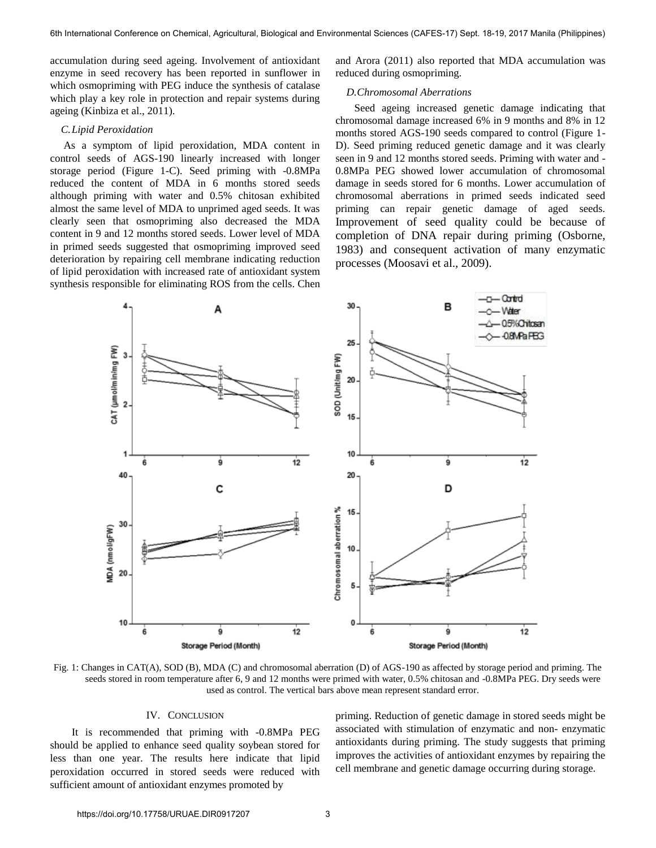accumulation during seed ageing. Involvement of antioxidant enzyme in seed recovery has been reported in sunflower in which osmopriming with PEG induce the synthesis of catalase which play a key role in protection and repair systems during ageing (Kinbiza et al., 2011).

## *C.Lipid Peroxidation*

 As a symptom of lipid peroxidation, MDA content in control seeds of AGS-190 linearly increased with longer storage period (Figure 1-C). Seed priming with -0.8MPa reduced the content of MDA in 6 months stored seeds although priming with water and 0.5% chitosan exhibited almost the same level of MDA to unprimed aged seeds. It was clearly seen that osmopriming also decreased the MDA content in 9 and 12 months stored seeds. Lower level of MDA in primed seeds suggested that osmopriming improved seed deterioration by repairing cell membrane indicating reduction of lipid peroxidation with increased rate of antioxidant system synthesis responsible for eliminating ROS from the cells. Chen and Arora (2011) also reported that MDA accumulation was reduced during osmopriming.

### *D.Chromosomal Aberrations*

 Seed ageing increased genetic damage indicating that chromosomal damage increased 6% in 9 months and 8% in 12 months stored AGS-190 seeds compared to control (Figure 1- D). Seed priming reduced genetic damage and it was clearly seen in 9 and 12 months stored seeds. Priming with water and - 0.8MPa PEG showed lower accumulation of chromosomal damage in seeds stored for 6 months. Lower accumulation of chromosomal aberrations in primed seeds indicated seed priming can repair genetic damage of aged seeds. Improvement of seed quality could be because of completion of DNA repair during priming (Osborne, 1983) and consequent activation of many enzymatic processes (Moosavi et al., 2009).



Fig. 1: Changes in CAT(A), SOD (B), MDA (C) and chromosomal aberration (D) of AGS-190 as affected by storage period and priming. The seeds stored in room temperature after 6, 9 and 12 months were primed with water, 0.5% chitosan and -0.8MPa PEG. Dry seeds were used as control. The vertical bars above mean represent standard error.

## IV. CONCLUSION

 It is recommended that priming with -0.8MPa PEG should be applied to enhance seed quality soybean stored for less than one year. The results here indicate that lipid peroxidation occurred in stored seeds were reduced with sufficient amount of antioxidant enzymes promoted by

priming. Reduction of genetic damage in stored seeds might be associated with stimulation of enzymatic and non- enzymatic antioxidants during priming. The study suggests that priming improves the activities of antioxidant enzymes by repairing the cell membrane and genetic damage occurring during storage.